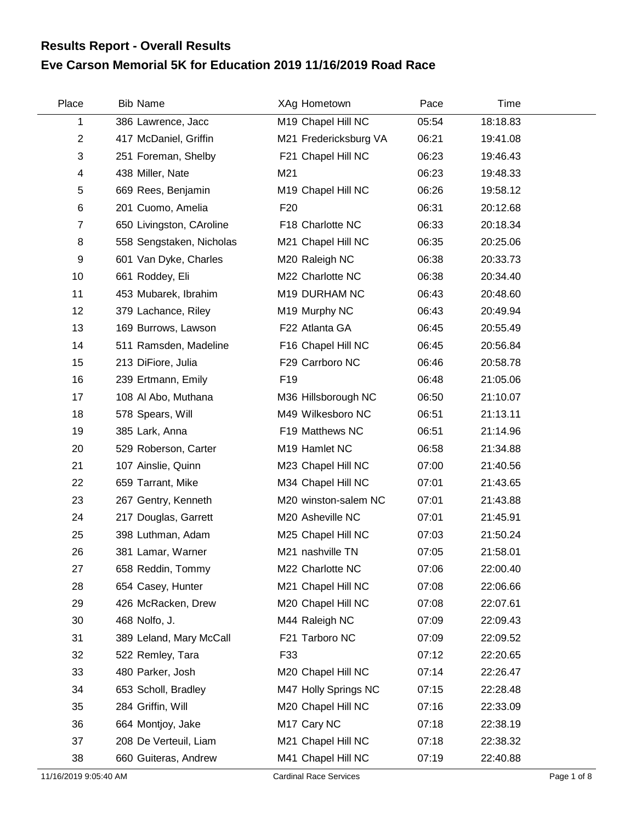## **Eve Carson Memorial 5K for Education 2019 11/16/2019 Road Race Results Report - Overall Results**

| Place          | <b>Bib Name</b>          | XAg Hometown          | Pace  | Time     |  |
|----------------|--------------------------|-----------------------|-------|----------|--|
| 1              | 386 Lawrence, Jacc       | M19 Chapel Hill NC    | 05:54 | 18:18.83 |  |
| $\overline{2}$ | 417 McDaniel, Griffin    | M21 Fredericksburg VA | 06:21 | 19:41.08 |  |
| 3              | 251 Foreman, Shelby      | F21 Chapel Hill NC    | 06:23 | 19:46.43 |  |
| 4              | 438 Miller, Nate         | M21                   | 06:23 | 19:48.33 |  |
| 5              | 669 Rees, Benjamin       | M19 Chapel Hill NC    | 06:26 | 19:58.12 |  |
| 6              | 201 Cuomo, Amelia        | F <sub>20</sub>       | 06:31 | 20:12.68 |  |
| $\overline{7}$ | 650 Livingston, CAroline | F18 Charlotte NC      | 06:33 | 20:18.34 |  |
| 8              | 558 Sengstaken, Nicholas | M21 Chapel Hill NC    | 06:35 | 20:25.06 |  |
| 9              | 601 Van Dyke, Charles    | M20 Raleigh NC        | 06:38 | 20:33.73 |  |
| 10             | 661 Roddey, Eli          | M22 Charlotte NC      | 06:38 | 20:34.40 |  |
| 11             | 453 Mubarek, Ibrahim     | M19 DURHAM NC         | 06:43 | 20:48.60 |  |
| 12             | 379 Lachance, Riley      | M19 Murphy NC         | 06:43 | 20:49.94 |  |
| 13             | 169 Burrows, Lawson      | F22 Atlanta GA        | 06:45 | 20:55.49 |  |
| 14             | 511 Ramsden, Madeline    | F16 Chapel Hill NC    | 06:45 | 20:56.84 |  |
| 15             | 213 DiFiore, Julia       | F29 Carrboro NC       | 06:46 | 20:58.78 |  |
| 16             | 239 Ertmann, Emily       | F <sub>19</sub>       | 06:48 | 21:05.06 |  |
| 17             | 108 Al Abo, Muthana      | M36 Hillsborough NC   | 06:50 | 21:10.07 |  |
| 18             | 578 Spears, Will         | M49 Wilkesboro NC     | 06:51 | 21:13.11 |  |
| 19             | 385 Lark, Anna           | F19 Matthews NC       | 06:51 | 21:14.96 |  |
| 20             | 529 Roberson, Carter     | M19 Hamlet NC         | 06:58 | 21:34.88 |  |
| 21             | 107 Ainslie, Quinn       | M23 Chapel Hill NC    | 07:00 | 21:40.56 |  |
| 22             | 659 Tarrant, Mike        | M34 Chapel Hill NC    | 07:01 | 21:43.65 |  |
| 23             | 267 Gentry, Kenneth      | M20 winston-salem NC  | 07:01 | 21:43.88 |  |
| 24             | 217 Douglas, Garrett     | M20 Asheville NC      | 07:01 | 21:45.91 |  |
| 25             | 398 Luthman, Adam        | M25 Chapel Hill NC    | 07:03 | 21:50.24 |  |
| 26             | 381 Lamar, Warner        | M21 nashville TN      | 07:05 | 21:58.01 |  |
| 27             | 658 Reddin, Tommy        | M22 Charlotte NC      | 07:06 | 22:00.40 |  |
| 28             | 654 Casey, Hunter        | M21 Chapel Hill NC    | 07:08 | 22:06.66 |  |
| 29             | 426 McRacken, Drew       | M20 Chapel Hill NC    | 07:08 | 22:07.61 |  |
| 30             | 468 Nolfo, J.            | M44 Raleigh NC        | 07:09 | 22:09.43 |  |
| 31             | 389 Leland, Mary McCall  | F21 Tarboro NC        | 07:09 | 22:09.52 |  |
| 32             | 522 Remley, Tara         | F33                   | 07:12 | 22:20.65 |  |
| 33             | 480 Parker, Josh         | M20 Chapel Hill NC    | 07:14 | 22:26.47 |  |
| 34             | 653 Scholl, Bradley      | M47 Holly Springs NC  | 07:15 | 22:28.48 |  |
| 35             | 284 Griffin, Will        | M20 Chapel Hill NC    | 07:16 | 22:33.09 |  |
| 36             | 664 Montjoy, Jake        | M17 Cary NC           | 07:18 | 22:38.19 |  |
| 37             | 208 De Verteuil, Liam    | M21 Chapel Hill NC    | 07:18 | 22:38.32 |  |
| 38             | 660 Guiteras, Andrew     | M41 Chapel Hill NC    | 07:19 | 22:40.88 |  |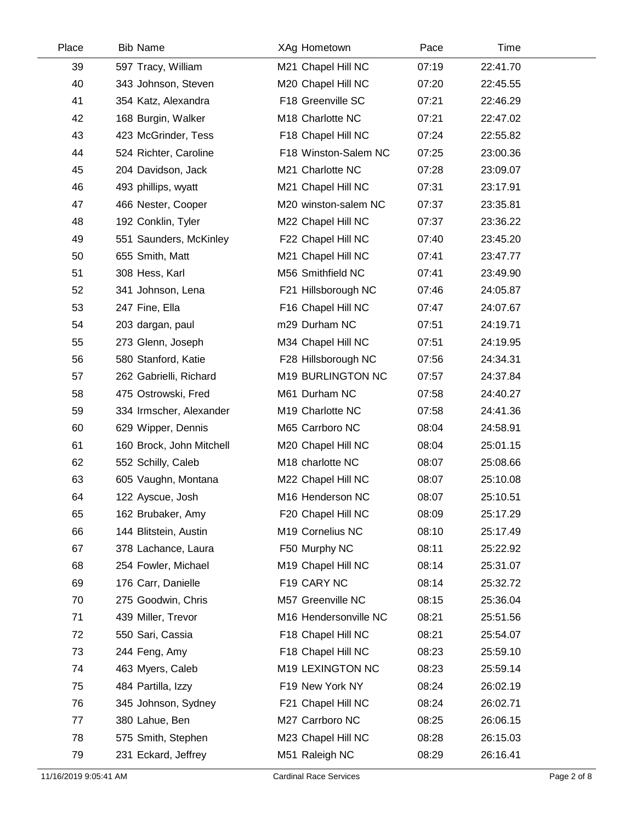| Place | <b>Bib Name</b>          | XAg Hometown          | Pace  | Time     |  |
|-------|--------------------------|-----------------------|-------|----------|--|
| 39    | 597 Tracy, William       | M21 Chapel Hill NC    | 07:19 | 22:41.70 |  |
| 40    | 343 Johnson, Steven      | M20 Chapel Hill NC    | 07:20 | 22:45.55 |  |
| 41    | 354 Katz, Alexandra      | F18 Greenville SC     | 07:21 | 22:46.29 |  |
| 42    | 168 Burgin, Walker       | M18 Charlotte NC      | 07:21 | 22:47.02 |  |
| 43    | 423 McGrinder, Tess      | F18 Chapel Hill NC    | 07:24 | 22:55.82 |  |
| 44    | 524 Richter, Caroline    | F18 Winston-Salem NC  | 07:25 | 23:00.36 |  |
| 45    | 204 Davidson, Jack       | M21 Charlotte NC      | 07:28 | 23:09.07 |  |
| 46    | 493 phillips, wyatt      | M21 Chapel Hill NC    | 07:31 | 23:17.91 |  |
| 47    | 466 Nester, Cooper       | M20 winston-salem NC  | 07:37 | 23:35.81 |  |
| 48    | 192 Conklin, Tyler       | M22 Chapel Hill NC    | 07:37 | 23:36.22 |  |
| 49    | 551 Saunders, McKinley   | F22 Chapel Hill NC    | 07:40 | 23:45.20 |  |
| 50    | 655 Smith, Matt          | M21 Chapel Hill NC    | 07:41 | 23:47.77 |  |
| 51    | 308 Hess, Karl           | M56 Smithfield NC     | 07:41 | 23:49.90 |  |
| 52    | 341 Johnson, Lena        | F21 Hillsborough NC   | 07:46 | 24:05.87 |  |
| 53    | 247 Fine, Ella           | F16 Chapel Hill NC    | 07:47 | 24:07.67 |  |
| 54    | 203 dargan, paul         | m29 Durham NC         | 07:51 | 24:19.71 |  |
| 55    | 273 Glenn, Joseph        | M34 Chapel Hill NC    | 07:51 | 24:19.95 |  |
| 56    | 580 Stanford, Katie      | F28 Hillsborough NC   | 07:56 | 24:34.31 |  |
| 57    | 262 Gabrielli, Richard   | M19 BURLINGTON NC     | 07:57 | 24:37.84 |  |
| 58    | 475 Ostrowski, Fred      | M61 Durham NC         | 07:58 | 24:40.27 |  |
| 59    | 334 Irmscher, Alexander  | M19 Charlotte NC      | 07:58 | 24:41.36 |  |
| 60    | 629 Wipper, Dennis       | M65 Carrboro NC       | 08:04 | 24:58.91 |  |
| 61    | 160 Brock, John Mitchell | M20 Chapel Hill NC    | 08:04 | 25:01.15 |  |
| 62    | 552 Schilly, Caleb       | M18 charlotte NC      | 08:07 | 25:08.66 |  |
| 63    | 605 Vaughn, Montana      | M22 Chapel Hill NC    | 08:07 | 25:10.08 |  |
| 64    | 122 Ayscue, Josh         | M16 Henderson NC      | 08:07 | 25:10.51 |  |
| 65    | 162 Brubaker, Amy        | F20 Chapel Hill NC    | 08:09 | 25:17.29 |  |
| 66    | 144 Blitstein, Austin    | M19 Cornelius NC      | 08:10 | 25:17.49 |  |
| 67    | 378 Lachance, Laura      | F50 Murphy NC         | 08:11 | 25:22.92 |  |
| 68    | 254 Fowler, Michael      | M19 Chapel Hill NC    | 08:14 | 25:31.07 |  |
| 69    | 176 Carr, Danielle       | F19 CARY NC           | 08:14 | 25:32.72 |  |
| 70    | 275 Goodwin, Chris       | M57 Greenville NC     | 08:15 | 25:36.04 |  |
| 71    | 439 Miller, Trevor       | M16 Hendersonville NC | 08:21 | 25:51.56 |  |
| 72    | 550 Sari, Cassia         | F18 Chapel Hill NC    | 08:21 | 25:54.07 |  |
| 73    | 244 Feng, Amy            | F18 Chapel Hill NC    | 08:23 | 25:59.10 |  |
| 74    | 463 Myers, Caleb         | M19 LEXINGTON NC      | 08:23 | 25:59.14 |  |
| 75    | 484 Partilla, Izzy       | F19 New York NY       | 08:24 | 26:02.19 |  |
| 76    | 345 Johnson, Sydney      | F21 Chapel Hill NC    | 08:24 | 26:02.71 |  |
| 77    | 380 Lahue, Ben           | M27 Carrboro NC       | 08:25 | 26:06.15 |  |
| 78    | 575 Smith, Stephen       | M23 Chapel Hill NC    | 08:28 | 26:15.03 |  |
| 79    | 231 Eckard, Jeffrey      | M51 Raleigh NC        | 08:29 | 26:16.41 |  |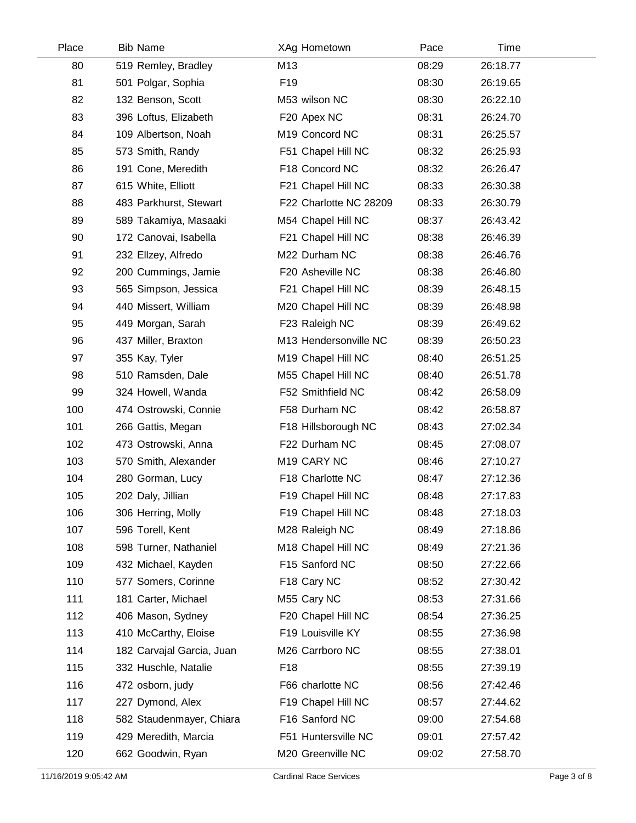| Place | <b>Bib Name</b>           | XAg Hometown           | Pace  | Time     |  |
|-------|---------------------------|------------------------|-------|----------|--|
| 80    | 519 Remley, Bradley       | M13                    | 08:29 | 26:18.77 |  |
| 81    | 501 Polgar, Sophia        | F <sub>19</sub>        | 08:30 | 26:19.65 |  |
| 82    | 132 Benson, Scott         | M53 wilson NC          | 08:30 | 26:22.10 |  |
| 83    | 396 Loftus, Elizabeth     | F20 Apex NC            | 08:31 | 26:24.70 |  |
| 84    | 109 Albertson, Noah       | M19 Concord NC         | 08:31 | 26:25.57 |  |
| 85    | 573 Smith, Randy          | F51 Chapel Hill NC     | 08:32 | 26:25.93 |  |
| 86    | 191 Cone, Meredith        | F18 Concord NC         | 08:32 | 26:26.47 |  |
| 87    | 615 White, Elliott        | F21 Chapel Hill NC     | 08:33 | 26:30.38 |  |
| 88    | 483 Parkhurst, Stewart    | F22 Charlotte NC 28209 | 08:33 | 26:30.79 |  |
| 89    | 589 Takamiya, Masaaki     | M54 Chapel Hill NC     | 08:37 | 26:43.42 |  |
| 90    | 172 Canovai, Isabella     | F21 Chapel Hill NC     | 08:38 | 26:46.39 |  |
| 91    | 232 Ellzey, Alfredo       | M22 Durham NC          | 08:38 | 26:46.76 |  |
| 92    | 200 Cummings, Jamie       | F20 Asheville NC       | 08:38 | 26:46.80 |  |
| 93    | 565 Simpson, Jessica      | F21 Chapel Hill NC     | 08:39 | 26:48.15 |  |
| 94    | 440 Missert, William      | M20 Chapel Hill NC     | 08:39 | 26:48.98 |  |
| 95    | 449 Morgan, Sarah         | F23 Raleigh NC         | 08:39 | 26:49.62 |  |
| 96    | 437 Miller, Braxton       | M13 Hendersonville NC  | 08:39 | 26:50.23 |  |
| 97    | 355 Kay, Tyler            | M19 Chapel Hill NC     | 08:40 | 26:51.25 |  |
| 98    | 510 Ramsden, Dale         | M55 Chapel Hill NC     | 08:40 | 26:51.78 |  |
| 99    | 324 Howell, Wanda         | F52 Smithfield NC      | 08:42 | 26:58.09 |  |
| 100   | 474 Ostrowski, Connie     | F58 Durham NC          | 08:42 | 26:58.87 |  |
| 101   | 266 Gattis, Megan         | F18 Hillsborough NC    | 08:43 | 27:02.34 |  |
| 102   | 473 Ostrowski, Anna       | F22 Durham NC          | 08:45 | 27:08.07 |  |
| 103   | 570 Smith, Alexander      | M19 CARY NC            | 08:46 | 27:10.27 |  |
| 104   | 280 Gorman, Lucy          | F18 Charlotte NC       | 08:47 | 27:12.36 |  |
| 105   | 202 Daly, Jillian         | F19 Chapel Hill NC     | 08:48 | 27:17.83 |  |
| 106   | 306 Herring, Molly        | F19 Chapel Hill NC     | 08:48 | 27:18.03 |  |
| 107   | 596 Torell, Kent          | M28 Raleigh NC         | 08:49 | 27:18.86 |  |
| 108   | 598 Turner, Nathaniel     | M18 Chapel Hill NC     | 08:49 | 27:21.36 |  |
| 109   | 432 Michael, Kayden       | F15 Sanford NC         | 08:50 | 27:22.66 |  |
| 110   | 577 Somers, Corinne       | F18 Cary NC            | 08:52 | 27:30.42 |  |
| 111   | 181 Carter, Michael       | M55 Cary NC            | 08:53 | 27:31.66 |  |
| 112   | 406 Mason, Sydney         | F20 Chapel Hill NC     | 08:54 | 27:36.25 |  |
| 113   | 410 McCarthy, Eloise      | F19 Louisville KY      | 08:55 | 27:36.98 |  |
| 114   | 182 Carvajal Garcia, Juan | M26 Carrboro NC        | 08:55 | 27:38.01 |  |
| 115   | 332 Huschle, Natalie      | F <sub>18</sub>        | 08:55 | 27:39.19 |  |
| 116   | 472 osborn, judy          | F66 charlotte NC       | 08:56 | 27:42.46 |  |
| 117   | 227 Dymond, Alex          | F19 Chapel Hill NC     | 08:57 | 27:44.62 |  |
| 118   | 582 Staudenmayer, Chiara  | F16 Sanford NC         | 09:00 | 27:54.68 |  |
| 119   | 429 Meredith, Marcia      | F51 Huntersville NC    | 09:01 | 27:57.42 |  |
| 120   | 662 Goodwin, Ryan         | M20 Greenville NC      | 09:02 | 27:58.70 |  |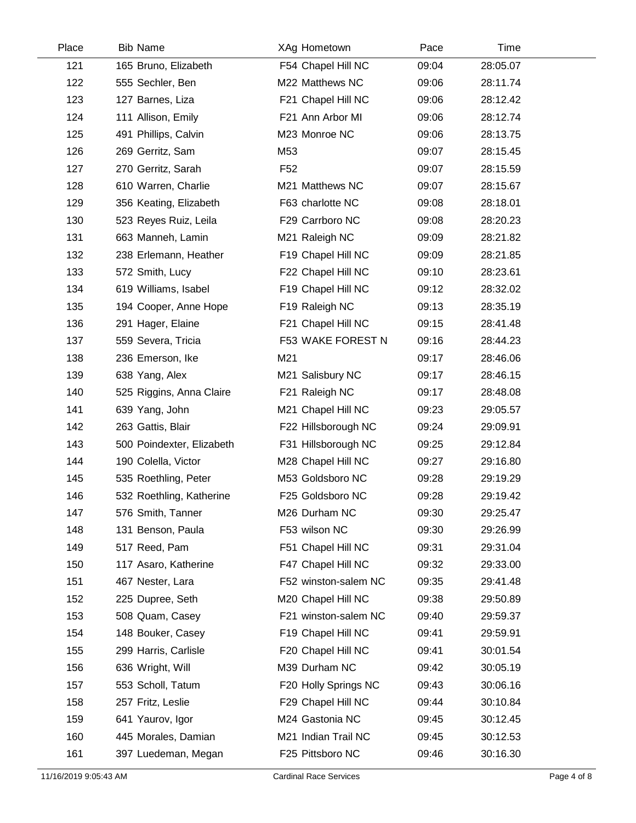| Place | <b>Bib Name</b>           | XAg Hometown         | Pace  | Time     |  |
|-------|---------------------------|----------------------|-------|----------|--|
| 121   | 165 Bruno, Elizabeth      | F54 Chapel Hill NC   | 09:04 | 28:05.07 |  |
| 122   | 555 Sechler, Ben          | M22 Matthews NC      | 09:06 | 28:11.74 |  |
| 123   | 127 Barnes, Liza          | F21 Chapel Hill NC   | 09:06 | 28:12.42 |  |
| 124   | 111 Allison, Emily        | F21 Ann Arbor MI     | 09:06 | 28:12.74 |  |
| 125   | 491 Phillips, Calvin      | M23 Monroe NC        | 09:06 | 28:13.75 |  |
| 126   | 269 Gerritz, Sam          | M53                  | 09:07 | 28:15.45 |  |
| 127   | 270 Gerritz, Sarah        | F <sub>52</sub>      | 09:07 | 28:15.59 |  |
| 128   | 610 Warren, Charlie       | M21 Matthews NC      | 09:07 | 28:15.67 |  |
| 129   | 356 Keating, Elizabeth    | F63 charlotte NC     | 09:08 | 28:18.01 |  |
| 130   | 523 Reyes Ruiz, Leila     | F29 Carrboro NC      | 09:08 | 28:20.23 |  |
| 131   | 663 Manneh, Lamin         | M21 Raleigh NC       | 09:09 | 28:21.82 |  |
| 132   | 238 Erlemann, Heather     | F19 Chapel Hill NC   | 09:09 | 28:21.85 |  |
| 133   | 572 Smith, Lucy           | F22 Chapel Hill NC   | 09:10 | 28:23.61 |  |
| 134   | 619 Williams, Isabel      | F19 Chapel Hill NC   | 09:12 | 28:32.02 |  |
| 135   | 194 Cooper, Anne Hope     | F19 Raleigh NC       | 09:13 | 28:35.19 |  |
| 136   | 291 Hager, Elaine         | F21 Chapel Hill NC   | 09:15 | 28:41.48 |  |
| 137   | 559 Severa, Tricia        | F53 WAKE FOREST N    | 09:16 | 28:44.23 |  |
| 138   | 236 Emerson, Ike          | M21                  | 09:17 | 28:46.06 |  |
| 139   | 638 Yang, Alex            | M21 Salisbury NC     | 09:17 | 28:46.15 |  |
| 140   | 525 Riggins, Anna Claire  | F21 Raleigh NC       | 09:17 | 28:48.08 |  |
| 141   | 639 Yang, John            | M21 Chapel Hill NC   | 09:23 | 29:05.57 |  |
| 142   | 263 Gattis, Blair         | F22 Hillsborough NC  | 09:24 | 29:09.91 |  |
| 143   | 500 Poindexter, Elizabeth | F31 Hillsborough NC  | 09:25 | 29:12.84 |  |
| 144   | 190 Colella, Victor       | M28 Chapel Hill NC   | 09:27 | 29:16.80 |  |
| 145   | 535 Roethling, Peter      | M53 Goldsboro NC     | 09:28 | 29:19.29 |  |
| 146   | 532 Roethling, Katherine  | F25 Goldsboro NC     | 09:28 | 29:19.42 |  |
| 147   | 576 Smith, Tanner         | M26 Durham NC        | 09:30 | 29:25.47 |  |
| 148   | 131 Benson, Paula         | F53 wilson NC        | 09:30 | 29:26.99 |  |
| 149   | 517 Reed, Pam             | F51 Chapel Hill NC   | 09:31 | 29:31.04 |  |
| 150   | 117 Asaro, Katherine      | F47 Chapel Hill NC   | 09:32 | 29:33.00 |  |
| 151   | 467 Nester, Lara          | F52 winston-salem NC | 09:35 | 29:41.48 |  |
| 152   | 225 Dupree, Seth          | M20 Chapel Hill NC   | 09:38 | 29:50.89 |  |
| 153   | 508 Quam, Casey           | F21 winston-salem NC | 09:40 | 29:59.37 |  |
| 154   | 148 Bouker, Casey         | F19 Chapel Hill NC   | 09:41 | 29:59.91 |  |
| 155   | 299 Harris, Carlisle      | F20 Chapel Hill NC   | 09:41 | 30:01.54 |  |
| 156   | 636 Wright, Will          | M39 Durham NC        | 09:42 | 30:05.19 |  |
| 157   | 553 Scholl, Tatum         | F20 Holly Springs NC | 09:43 | 30:06.16 |  |
| 158   | 257 Fritz, Leslie         | F29 Chapel Hill NC   | 09:44 | 30:10.84 |  |
| 159   | 641 Yaurov, Igor          | M24 Gastonia NC      | 09:45 | 30:12.45 |  |
| 160   | 445 Morales, Damian       | M21 Indian Trail NC  | 09:45 | 30:12.53 |  |
| 161   | 397 Luedeman, Megan       | F25 Pittsboro NC     | 09:46 | 30:16.30 |  |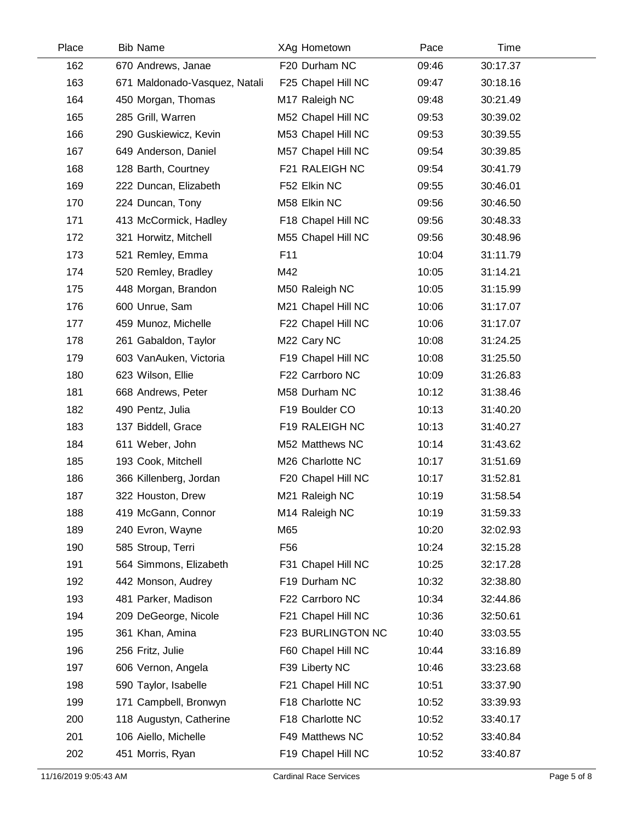| Place | <b>Bib Name</b>               | XAg Hometown       | Pace  | Time     |  |
|-------|-------------------------------|--------------------|-------|----------|--|
| 162   | 670 Andrews, Janae            | F20 Durham NC      | 09:46 | 30:17.37 |  |
| 163   | 671 Maldonado-Vasquez, Natali | F25 Chapel Hill NC | 09:47 | 30:18.16 |  |
| 164   | 450 Morgan, Thomas            | M17 Raleigh NC     | 09:48 | 30:21.49 |  |
| 165   | 285 Grill, Warren             | M52 Chapel Hill NC | 09:53 | 30:39.02 |  |
| 166   | 290 Guskiewicz, Kevin         | M53 Chapel Hill NC | 09:53 | 30:39.55 |  |
| 167   | 649 Anderson, Daniel          | M57 Chapel Hill NC | 09:54 | 30:39.85 |  |
| 168   | 128 Barth, Courtney           | F21 RALEIGH NC     | 09:54 | 30:41.79 |  |
| 169   | 222 Duncan, Elizabeth         | F52 Elkin NC       | 09:55 | 30:46.01 |  |
| 170   | 224 Duncan, Tony              | M58 Elkin NC       | 09:56 | 30:46.50 |  |
| 171   | 413 McCormick, Hadley         | F18 Chapel Hill NC | 09:56 | 30:48.33 |  |
| 172   | 321 Horwitz, Mitchell         | M55 Chapel Hill NC | 09:56 | 30:48.96 |  |
| 173   | 521 Remley, Emma              | F11                | 10:04 | 31:11.79 |  |
| 174   | 520 Remley, Bradley           | M42                | 10:05 | 31:14.21 |  |
| 175   | 448 Morgan, Brandon           | M50 Raleigh NC     | 10:05 | 31:15.99 |  |
| 176   | 600 Unrue, Sam                | M21 Chapel Hill NC | 10:06 | 31:17.07 |  |
| 177   | 459 Munoz, Michelle           | F22 Chapel Hill NC | 10:06 | 31:17.07 |  |
| 178   | 261 Gabaldon, Taylor          | M22 Cary NC        | 10:08 | 31:24.25 |  |
| 179   | 603 VanAuken, Victoria        | F19 Chapel Hill NC | 10:08 | 31:25.50 |  |
| 180   | 623 Wilson, Ellie             | F22 Carrboro NC    | 10:09 | 31:26.83 |  |
| 181   | 668 Andrews, Peter            | M58 Durham NC      | 10:12 | 31:38.46 |  |
| 182   | 490 Pentz, Julia              | F19 Boulder CO     | 10:13 | 31:40.20 |  |
| 183   | 137 Biddell, Grace            | F19 RALEIGH NC     | 10:13 | 31:40.27 |  |
| 184   | 611 Weber, John               | M52 Matthews NC    | 10:14 | 31:43.62 |  |
| 185   | 193 Cook, Mitchell            | M26 Charlotte NC   | 10:17 | 31:51.69 |  |
| 186   | 366 Killenberg, Jordan        | F20 Chapel Hill NC | 10:17 | 31:52.81 |  |
| 187   | 322 Houston, Drew             | M21 Raleigh NC     | 10:19 | 31:58.54 |  |
| 188   | 419 McGann, Connor            | M14 Raleigh NC     | 10:19 | 31:59.33 |  |
| 189   | 240 Evron, Wayne              | M65                | 10:20 | 32:02.93 |  |
| 190   | 585 Stroup, Terri             | F <sub>56</sub>    | 10:24 | 32:15.28 |  |
| 191   | 564 Simmons, Elizabeth        | F31 Chapel Hill NC | 10:25 | 32:17.28 |  |
| 192   | 442 Monson, Audrey            | F19 Durham NC      | 10:32 | 32:38.80 |  |
| 193   | 481 Parker, Madison           | F22 Carrboro NC    | 10:34 | 32:44.86 |  |
| 194   | 209 DeGeorge, Nicole          | F21 Chapel Hill NC | 10:36 | 32:50.61 |  |
| 195   | 361 Khan, Amina               | F23 BURLINGTON NC  | 10:40 | 33:03.55 |  |
| 196   | 256 Fritz, Julie              | F60 Chapel Hill NC | 10:44 | 33:16.89 |  |
| 197   | 606 Vernon, Angela            | F39 Liberty NC     | 10:46 | 33:23.68 |  |
| 198   | 590 Taylor, Isabelle          | F21 Chapel Hill NC | 10:51 | 33:37.90 |  |
| 199   | 171 Campbell, Bronwyn         | F18 Charlotte NC   | 10:52 | 33:39.93 |  |
| 200   | 118 Augustyn, Catherine       | F18 Charlotte NC   | 10:52 | 33:40.17 |  |
| 201   | 106 Aiello, Michelle          | F49 Matthews NC    | 10:52 | 33:40.84 |  |
| 202   | 451 Morris, Ryan              | F19 Chapel Hill NC | 10:52 | 33:40.87 |  |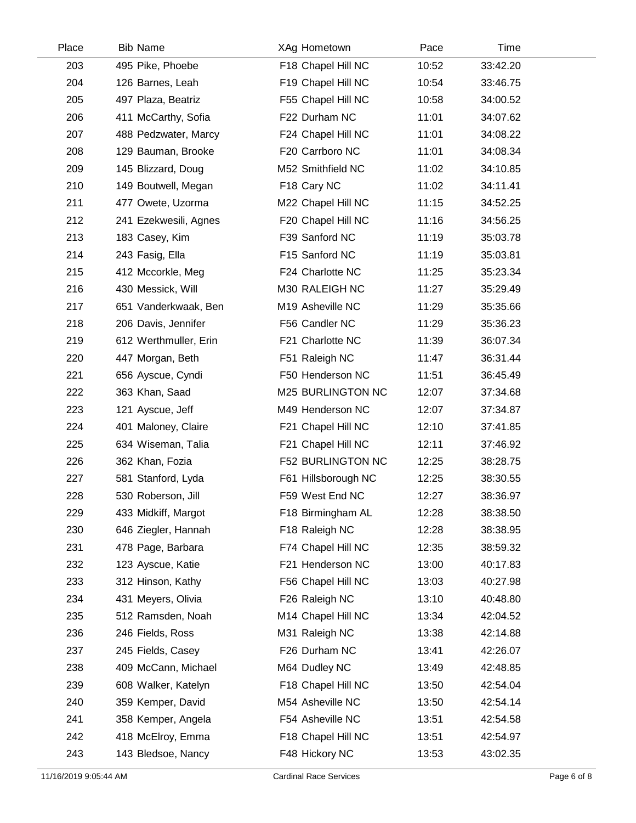| Place | <b>Bib Name</b>       | XAg Hometown             | Pace  | Time     |  |
|-------|-----------------------|--------------------------|-------|----------|--|
| 203   | 495 Pike, Phoebe      | F18 Chapel Hill NC       | 10:52 | 33:42.20 |  |
| 204   | 126 Barnes, Leah      | F19 Chapel Hill NC       | 10:54 | 33:46.75 |  |
| 205   | 497 Plaza, Beatriz    | F55 Chapel Hill NC       | 10:58 | 34:00.52 |  |
| 206   | 411 McCarthy, Sofia   | F22 Durham NC            | 11:01 | 34:07.62 |  |
| 207   | 488 Pedzwater, Marcy  | F24 Chapel Hill NC       | 11:01 | 34:08.22 |  |
| 208   | 129 Bauman, Brooke    | F20 Carrboro NC          | 11:01 | 34:08.34 |  |
| 209   | 145 Blizzard, Doug    | M52 Smithfield NC        | 11:02 | 34:10.85 |  |
| 210   | 149 Boutwell, Megan   | F18 Cary NC              | 11:02 | 34:11.41 |  |
| 211   | 477 Owete, Uzorma     | M22 Chapel Hill NC       | 11:15 | 34:52.25 |  |
| 212   | 241 Ezekwesili, Agnes | F20 Chapel Hill NC       | 11:16 | 34:56.25 |  |
| 213   | 183 Casey, Kim        | F39 Sanford NC           | 11:19 | 35:03.78 |  |
| 214   | 243 Fasig, Ella       | F15 Sanford NC           | 11:19 | 35:03.81 |  |
| 215   | 412 Mccorkle, Meg     | F24 Charlotte NC         | 11:25 | 35:23.34 |  |
| 216   | 430 Messick, Will     | M30 RALEIGH NC           | 11:27 | 35:29.49 |  |
| 217   | 651 Vanderkwaak, Ben  | M19 Asheville NC         | 11:29 | 35:35.66 |  |
| 218   | 206 Davis, Jennifer   | F56 Candler NC           | 11:29 | 35:36.23 |  |
| 219   | 612 Werthmuller, Erin | F21 Charlotte NC         | 11:39 | 36:07.34 |  |
| 220   | 447 Morgan, Beth      | F51 Raleigh NC           | 11:47 | 36:31.44 |  |
| 221   | 656 Ayscue, Cyndi     | F50 Henderson NC         | 11:51 | 36:45.49 |  |
| 222   | 363 Khan, Saad        | M25 BURLINGTON NC        | 12:07 | 37:34.68 |  |
| 223   | 121 Ayscue, Jeff      | M49 Henderson NC         | 12:07 | 37:34.87 |  |
| 224   | 401 Maloney, Claire   | F21 Chapel Hill NC       | 12:10 | 37:41.85 |  |
| 225   | 634 Wiseman, Talia    | F21 Chapel Hill NC       | 12:11 | 37:46.92 |  |
| 226   | 362 Khan, Fozia       | <b>F52 BURLINGTON NC</b> | 12:25 | 38:28.75 |  |
| 227   | 581 Stanford, Lyda    | F61 Hillsborough NC      | 12:25 | 38:30.55 |  |
| 228   | 530 Roberson, Jill    | F59 West End NC          | 12:27 | 38:36.97 |  |
| 229   | 433 Midkiff, Margot   | F18 Birmingham AL        | 12:28 | 38:38.50 |  |
| 230   | 646 Ziegler, Hannah   | F18 Raleigh NC           | 12:28 | 38:38.95 |  |
| 231   | 478 Page, Barbara     | F74 Chapel Hill NC       | 12:35 | 38:59.32 |  |
| 232   | 123 Ayscue, Katie     | F21 Henderson NC         | 13:00 | 40:17.83 |  |
| 233   | 312 Hinson, Kathy     | F56 Chapel Hill NC       | 13:03 | 40:27.98 |  |
| 234   | 431 Meyers, Olivia    | F26 Raleigh NC           | 13:10 | 40:48.80 |  |
| 235   | 512 Ramsden, Noah     | M14 Chapel Hill NC       | 13:34 | 42:04.52 |  |
| 236   | 246 Fields, Ross      | M31 Raleigh NC           | 13:38 | 42:14.88 |  |
| 237   | 245 Fields, Casey     | F26 Durham NC            | 13:41 | 42:26.07 |  |
| 238   | 409 McCann, Michael   | M64 Dudley NC            | 13:49 | 42:48.85 |  |
| 239   | 608 Walker, Katelyn   | F18 Chapel Hill NC       | 13:50 | 42:54.04 |  |
| 240   | 359 Kemper, David     | M54 Asheville NC         | 13:50 | 42:54.14 |  |
| 241   | 358 Kemper, Angela    | F54 Asheville NC         | 13:51 | 42:54.58 |  |
| 242   | 418 McElroy, Emma     | F18 Chapel Hill NC       | 13:51 | 42:54.97 |  |
| 243   | 143 Bledsoe, Nancy    | F48 Hickory NC           | 13:53 | 43:02.35 |  |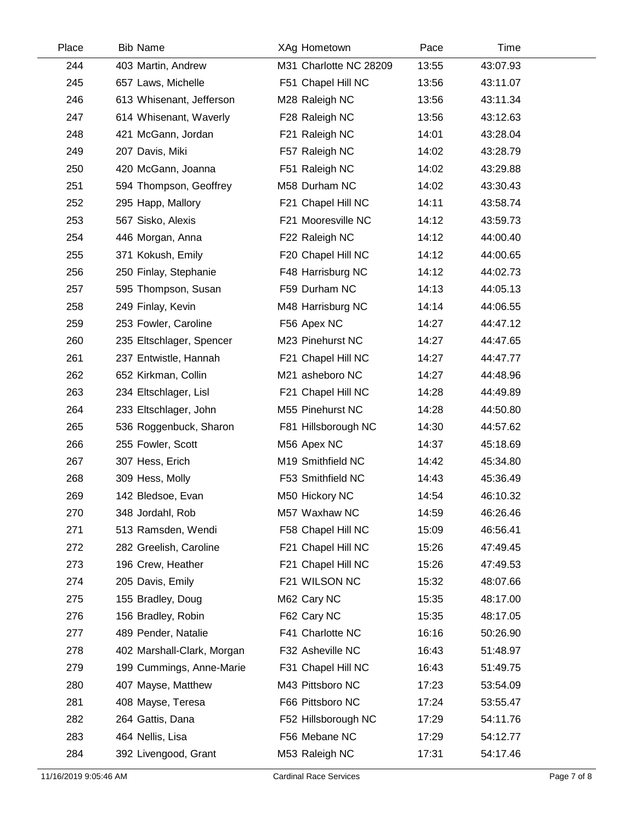| Place | <b>Bib Name</b>            | XAg Hometown           | Pace  | Time     |  |
|-------|----------------------------|------------------------|-------|----------|--|
| 244   | 403 Martin, Andrew         | M31 Charlotte NC 28209 | 13:55 | 43:07.93 |  |
| 245   | 657 Laws, Michelle         | F51 Chapel Hill NC     | 13:56 | 43:11.07 |  |
| 246   | 613 Whisenant, Jefferson   | M28 Raleigh NC         | 13:56 | 43:11.34 |  |
| 247   | 614 Whisenant, Waverly     | F28 Raleigh NC         | 13:56 | 43:12.63 |  |
| 248   | 421 McGann, Jordan         | F21 Raleigh NC         | 14:01 | 43:28.04 |  |
| 249   | 207 Davis, Miki            | F57 Raleigh NC         | 14:02 | 43:28.79 |  |
| 250   | 420 McGann, Joanna         | F51 Raleigh NC         | 14:02 | 43:29.88 |  |
| 251   | 594 Thompson, Geoffrey     | M58 Durham NC          | 14:02 | 43:30.43 |  |
| 252   | 295 Happ, Mallory          | F21 Chapel Hill NC     | 14:11 | 43:58.74 |  |
| 253   | 567 Sisko, Alexis          | F21 Mooresville NC     | 14:12 | 43:59.73 |  |
| 254   | 446 Morgan, Anna           | F22 Raleigh NC         | 14:12 | 44:00.40 |  |
| 255   | 371 Kokush, Emily          | F20 Chapel Hill NC     | 14:12 | 44:00.65 |  |
| 256   | 250 Finlay, Stephanie      | F48 Harrisburg NC      | 14:12 | 44:02.73 |  |
| 257   | 595 Thompson, Susan        | F59 Durham NC          | 14:13 | 44:05.13 |  |
| 258   | 249 Finlay, Kevin          | M48 Harrisburg NC      | 14:14 | 44:06.55 |  |
| 259   | 253 Fowler, Caroline       | F56 Apex NC            | 14:27 | 44:47.12 |  |
| 260   | 235 Eltschlager, Spencer   | M23 Pinehurst NC       | 14:27 | 44:47.65 |  |
| 261   | 237 Entwistle, Hannah      | F21 Chapel Hill NC     | 14:27 | 44:47.77 |  |
| 262   | 652 Kirkman, Collin        | M21 asheboro NC        | 14:27 | 44:48.96 |  |
| 263   | 234 Eltschlager, Lisl      | F21 Chapel Hill NC     | 14:28 | 44:49.89 |  |
| 264   | 233 Eltschlager, John      | M55 Pinehurst NC       | 14:28 | 44:50.80 |  |
| 265   | 536 Roggenbuck, Sharon     | F81 Hillsborough NC    | 14:30 | 44:57.62 |  |
| 266   | 255 Fowler, Scott          | M56 Apex NC            | 14:37 | 45:18.69 |  |
| 267   | 307 Hess, Erich            | M19 Smithfield NC      | 14:42 | 45:34.80 |  |
| 268   | 309 Hess, Molly            | F53 Smithfield NC      | 14:43 | 45:36.49 |  |
| 269   | 142 Bledsoe, Evan          | M50 Hickory NC         | 14:54 | 46:10.32 |  |
| 270   | 348 Jordahl, Rob           | M57 Waxhaw NC          | 14:59 | 46:26.46 |  |
| 271   | 513 Ramsden, Wendi         | F58 Chapel Hill NC     | 15:09 | 46:56.41 |  |
| 272   | 282 Greelish, Caroline     | F21 Chapel Hill NC     | 15:26 | 47:49.45 |  |
| 273   | 196 Crew, Heather          | F21 Chapel Hill NC     | 15:26 | 47:49.53 |  |
| 274   | 205 Davis, Emily           | F21 WILSON NC          | 15:32 | 48:07.66 |  |
| 275   | 155 Bradley, Doug          | M62 Cary NC            | 15:35 | 48:17.00 |  |
| 276   | 156 Bradley, Robin         | F62 Cary NC            | 15:35 | 48:17.05 |  |
| 277   | 489 Pender, Natalie        | F41 Charlotte NC       | 16:16 | 50:26.90 |  |
| 278   | 402 Marshall-Clark, Morgan | F32 Asheville NC       | 16:43 | 51:48.97 |  |
| 279   | 199 Cummings, Anne-Marie   | F31 Chapel Hill NC     | 16:43 | 51:49.75 |  |
| 280   | 407 Mayse, Matthew         | M43 Pittsboro NC       | 17:23 | 53:54.09 |  |
| 281   | 408 Mayse, Teresa          | F66 Pittsboro NC       | 17:24 | 53:55.47 |  |
| 282   | 264 Gattis, Dana           | F52 Hillsborough NC    | 17:29 | 54:11.76 |  |
| 283   | 464 Nellis, Lisa           | F56 Mebane NC          | 17:29 | 54:12.77 |  |
| 284   | 392 Livengood, Grant       | M53 Raleigh NC         | 17:31 | 54:17.46 |  |